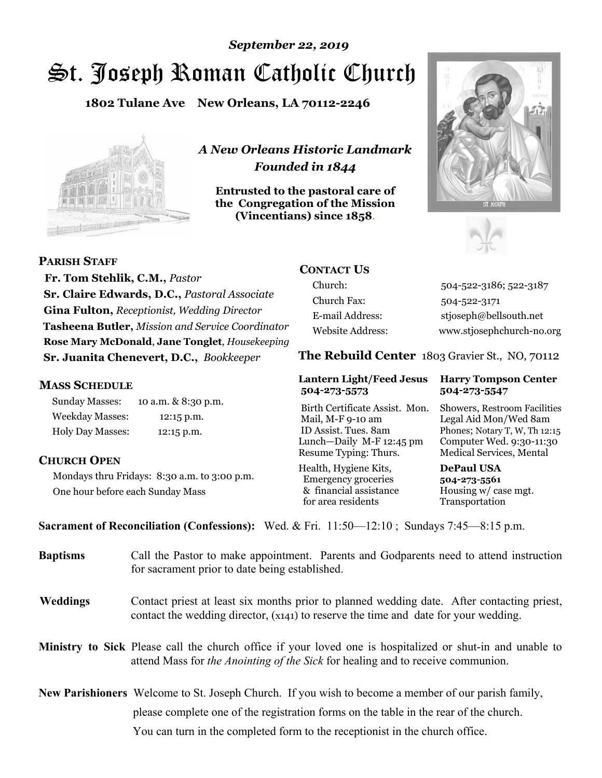# St. Joseph Roman Catholic Church *September 22, 2019*

**1802 Tulane Ave New Orleans, LA 70112-2246**



**PARISH STAFF**

**MASS SCHEDULE**

**CHURCH OPEN**

*A New Orleans Historic Landmark Founded in 1844* 

**Entrusted to the pastoral care of the Congregation of the Mission (Vincentians) since 1858**.





 **Fr. Tom Stehlik, C.M.,** *Pastor* **Sr. Claire Edwards, D.C.,** *Pastoral Associate* **Gina Fulton,** *Receptionist, Wedding Director* **Tasheena Butler,** *Mission and Service Coordinator* **Rose Mary McDonald**, **Jane Tonglet**, *Housekeeping* 

**Sr. Juanita Chenevert, D.C.,** *Bookkeeper* 

Mondays thru Fridays: 8:30 a.m. to 3:00 p.m.

Sunday Masses: 10 a.m. & 8:30 p.m. Weekday Masses: 12:15 p.m. Holy Day Masses: 12:15 p.m.

One hour before each Sunday Mass

# **CONTACT US**

Church: 504-522-3186; 522-3187 Church Fax: 504-522-3171 E-mail Address: stjoseph@bellsouth.net Website Address: www.stjosephchurch-no.org

**The Rebuild Center** 1803 Gravier St., NO, 70112

#### **Lantern Light/Feed Jesus Harry Tompson Center 504-273-5573 504-273-5547**

Birth Certificate Assist. Mon. Showers, Restroom Facilities Mail, M-F 9-10 am Legal Aid Mon/Wed 8am ID Assist. Tues. 8am Phones; Notary T, W, Th 12:15 Lunch—Daily M-F 12:45 pm Computer Wed. 9:30-11:30 Resume Typing: Thurs. Medical Services, Mental

Health, Hygiene Kits, **DePaul USA**  Emergency groceries **504-273-5561** & financial assistance Housing w/ case mgt. for area residents Transportation

**Sacrament of Reconciliation (Confessions):** Wed. & Fri. 11:50—12:10 ; Sundays 7:45—8:15 p.m.

| <b>Baptisms</b> | Call the Pastor to make appointment. Parents and Godparents need to attend instruction<br>for sacrament prior to date being established.                                                            |
|-----------------|-----------------------------------------------------------------------------------------------------------------------------------------------------------------------------------------------------|
| <b>Weddings</b> | Contact priest at least six months prior to planned wedding date. After contacting priest,<br>contact the wedding director, (x141) to reserve the time and date for your wedding.                   |
|                 | <b>Ministry to Sick</b> Please call the church office if your loved one is hospitalized or shut-in and unable to<br>attend Mass for the Anointing of the Sick for healing and to receive communion. |
|                 | <b>New Parishioners</b> Welcome to St. Joseph Church. If you wish to become a member of our parish family,                                                                                          |
|                 | please complete one of the registration forms on the table in the rear of the church.                                                                                                               |
|                 | You can turn in the completed form to the receptionist in the church office.                                                                                                                        |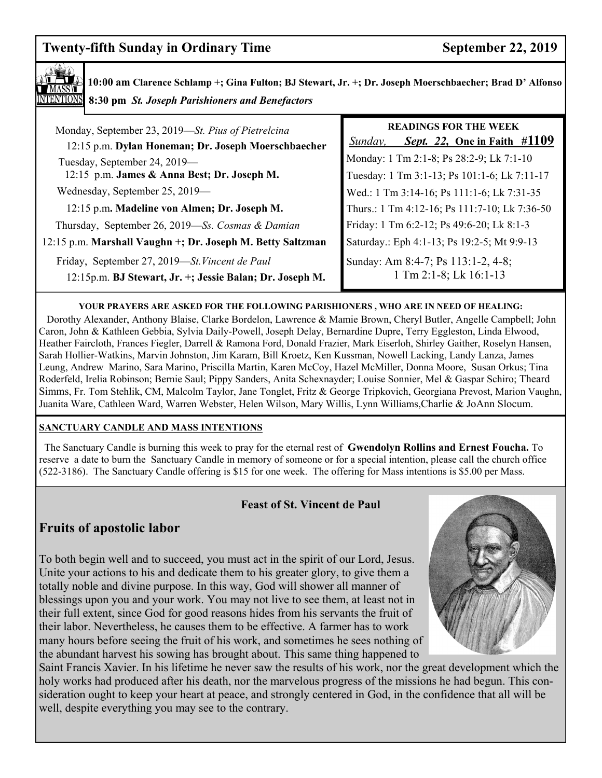# **Twenty-fifth Sunday in Ordinary Time September 22, 2019**



**10:00 am Clarence Schlamp +; Gina Fulton; BJ Stewart, Jr. +; Dr. Joseph Moerschbaecher; Brad D' Alfonso 8:30 pm** *St. Joseph Parishioners and Benefactors*

| Monday, September 23, 2019-St. Pius of Pietrelcina                                                         | <b>READINGS FOR THE WEEK</b>                                   |
|------------------------------------------------------------------------------------------------------------|----------------------------------------------------------------|
| 12:15 p.m. Dylan Honeman; Dr. Joseph Moerschbaecher                                                        | Sept. 22, One in Faith #1109<br>Sunday,                        |
| Tuesday, September 24, 2019-                                                                               | Monday: 1 Tm 2:1-8; Ps 28:2-9; Lk 7:1-10                       |
| 12:15 p.m. James & Anna Best; Dr. Joseph M.                                                                | Tuesday: 1 Tm 3:1-13; Ps 101:1-6; Lk 7:11-17                   |
| Wednesday, September 25, 2019—                                                                             | Wed.: 1 Tm 3:14-16; Ps 111:1-6; Lk 7:31-35                     |
| 12:15 p.m. Madeline von Almen; Dr. Joseph M.                                                               | Thurs.: 1 Tm 4:12-16; Ps 111:7-10; Lk 7:36-50                  |
| Thursday, September 26, 2019—Ss. Cosmas & Damian                                                           | Friday: 1 Tm 6:2-12; Ps 49:6-20; Lk 8:1-3                      |
| 12:15 p.m. Marshall Vaughn +; Dr. Joseph M. Betty Saltzman                                                 | Saturday.: Eph 4:1-13; Ps 19:2-5; Mt 9:9-13                    |
| Friday, September 27, 2019—St. Vincent de Paul<br>12:15p.m. BJ Stewart, Jr. +; Jessie Balan; Dr. Joseph M. | Sunday: Am 8:4-7; Ps 113:1-2, 4-8;<br>$1$ Tm 2:1-8; Lk 16:1-13 |

#### **YOUR PRAYERS ARE ASKED FOR THE FOLLOWING PARISHIONERS , WHO ARE IN NEED OF HEALING:**

 Dorothy Alexander, Anthony Blaise, Clarke Bordelon, Lawrence & Mamie Brown, Cheryl Butler, Angelle Campbell; John Caron, John & Kathleen Gebbia, Sylvia Daily-Powell, Joseph Delay, Bernardine Dupre, Terry Eggleston, Linda Elwood, Heather Faircloth, Frances Fiegler, Darrell & Ramona Ford, Donald Frazier, Mark Eiserloh, Shirley Gaither, Roselyn Hansen, Sarah Hollier-Watkins, Marvin Johnston, Jim Karam, Bill Kroetz, Ken Kussman, Nowell Lacking, Landy Lanza, James Leung, Andrew Marino, Sara Marino, Priscilla Martin, Karen McCoy, Hazel McMiller, Donna Moore, Susan Orkus; Tina Roderfeld, Irelia Robinson; Bernie Saul; Pippy Sanders, Anita Schexnayder; Louise Sonnier, Mel & Gaspar Schiro; Theard Simms, Fr. Tom Stehlik, CM, Malcolm Taylor, Jane Tonglet, Fritz & George Tripkovich, Georgiana Prevost, Marion Vaughn, Juanita Ware, Cathleen Ward, Warren Webster, Helen Wilson, Mary Willis, Lynn Williams,Charlie & JoAnn Slocum.

#### **SANCTUARY CANDLE AND MASS INTENTIONS**

 The Sanctuary Candle is burning this week to pray for the eternal rest of **Gwendolyn Rollins and Ernest Foucha.** To reserve a date to burn the Sanctuary Candle in memory of someone or for a special intention, please call the church office (522-3186). The Sanctuary Candle offering is \$15 for one week. The offering for Mass intentions is \$5.00 per Mass.

### **Feast of St. Vincent de Paul**

# **Fruits of apostolic labor**

To both begin well and to succeed, you must act in the spirit of our Lord, Jesus. Unite your actions to his and dedicate them to his greater glory, to give them a totally noble and divine purpose. In this way, God will shower all manner of blessings upon you and your work. You may not live to see them, at least not in their full extent, since God for good reasons hides from his servants the fruit of their labor. Nevertheless, he causes them to be effective. A farmer has to work many hours before seeing the fruit of his work, and sometimes he sees nothing of the abundant harvest his sowing has brought about. This same thing happened to



Saint Francis Xavier. In his lifetime he never saw the results of his work, nor the great development which the holy works had produced after his death, nor the marvelous progress of the missions he had begun. This consideration ought to keep your heart at peace, and strongly centered in God, in the confidence that all will be well, despite everything you may see to the contrary.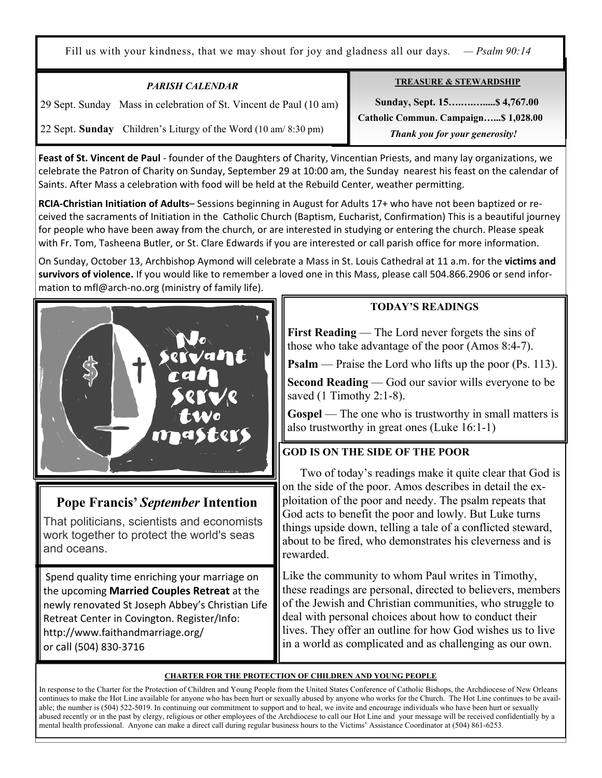Fill us with your kindness, that we may shout for joy and gladness all our days. *— Psalm 90:14*

| <b>PARISH CALENDAR</b>                                                              | <b>TREASURE &amp; STEWARDSHIP</b>                                      |
|-------------------------------------------------------------------------------------|------------------------------------------------------------------------|
| 29 Sept. Sunday Mass in celebration of St. Vincent de Paul (10 am)                  | Sunday, Sept. 15 \$4,767.00                                            |
| Children's Liturgy of the Word $(10 \text{ am}/8:30 \text{ pm})$<br>22 Sept. Sunday | Catholic Commun. Campaign\$ 1,028.00<br>Thank you for your generosity! |

**Feast of St. Vincent de Paul** - founder of the Daughters of Charity, Vincentian Priests, and many lay organizations, we celebrate the Patron of Charity on Sunday, September 29 at 10:00 am, the Sunday nearest his feast on the calendar of Saints. After Mass a celebration with food will be held at the Rebuild Center, weather permitting.

**RCIA-Christian Initiation of Adults**– Sessions beginning in August for Adults 17+ who have not been baptized or received the sacraments of Initiation in the Catholic Church (Baptism, Eucharist, Confirmation) This is a beautiful journey for people who have been away from the church, or are interested in studying or entering the church. Please speak with Fr. Tom, Tasheena Butler, or St. Clare Edwards if you are interested or call parish office for more information.

On Sunday, October 13, Archbishop Aymond will celebrate a Mass in St. Louis Cathedral at 11 a.m. for the **victims and survivors of violence.** If you would like to remember a loved one in this Mass, please call 504.866.2906 or send information to mfl@arch-no.org (ministry of family life).



Ξ

# **Pope Francis'** *September* **Intention**

That politicians, scientists and economists work together to protect the world's seas and oceans.

Spend quality time enriching your marriage on the upcoming **Married Couples Retreat** at the newly renovated St Joseph Abbey's Christian Life Retreat Center in Covington. Register/Info: http://www.faithandmarriage.org/ or call (504) 830-3716

# **TODAY'S READINGS**

**First Reading** — The Lord never forgets the sins of those who take advantage of the poor (Amos 8:4-7).

**Psalm** — Praise the Lord who lifts up the poor (Ps. 113).

**Second Reading** — God our savior wills everyone to be saved (1 Timothy 2:1-8).

**Gospel** — The one who is trustworthy in small matters is also trustworthy in great ones (Luke 16:1-1)

# **GOD IS ON THE SIDE OF THE POOR**

 Two of today's readings make it quite clear that God is on the side of the poor. Amos describes in detail the exploitation of the poor and needy. The psalm repeats that God acts to benefit the poor and lowly. But Luke turns things upside down, telling a tale of a conflicted steward, about to be fired, who demonstrates his cleverness and is rewarded.

Like the community to whom Paul writes in Timothy, these readings are personal, directed to believers, members of the Jewish and Christian communities, who struggle to deal with personal choices about how to conduct their lives. They offer an outline for how God wishes us to live in a world as complicated and as challenging as our own.

### **CHARTER FOR THE PROTECTION OF CHILDREN AND YOUNG PEOPLE**

In response to the Charter for the Protection of Children and Young People from the United States Conference of Catholic Bishops, the Archdiocese of New Orleans continues to make the Hot Line available for anyone who has been hurt or sexually abused by anyone who works for the Church. The Hot Line continues to be available; the number is (504) 522-5019. In continuing our commitment to support and to heal, we invite and encourage individuals who have been hurt or sexually abused recently or in the past by clergy, religious or other employees of the Archdiocese to call our Hot Line and your message will be received confidentially by a mental health professional. Anyone can make a direct call during regular business hours to the Victims' Assistance Coordinator at (504) 861-6253.